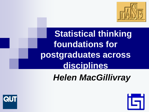

**Statistical thinking foundations for postgraduates across disciplines**

*Helen MacGillivray*



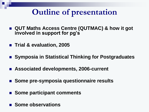# **Outline of presentation**

- QUT Maths Access Centre (QUTMAC) & how it got **involved in support for pg's**
- **Trial & evaluation, 2005**
- Symposia in Statistical Thinking for Postgraduates
- **Associated developments, 2006-current**
- Some pre-symposia questionnaire results
- Some participant comments
- Some observations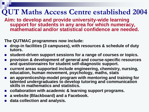## **QUT Maths Access Centre established 2004**

**Aim: to develop and provide university-wide learning support for students in any area for which numeracy, mathematical and/or statistical confidence are needed.**

**The QUTMAC programmes now include:** 

- **drop-in facilities (3 campuses), with resources & schedule of duty tutors.**
- student-driven support sessions for a range of courses or topics.
- **provision & development of general and course-specific resources and questionnaires for student self-diagnostic support.**
- **current areas supported include engineering, chemistry, nursing, education, human movement, psychology, maths, stats**
- an apprenticeship-model program with mentoring and training for **talented undergraduates to develop tutoring and communication skills in mathematics and statistics.**
- **collaboration with academic & learning support programs.**
- **a website (Blackboard) and a Facebook.**
- **data collection and analysis.**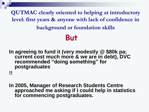**QUTMAC clearly oriented to helping at introductory level: first years & anyone with lack of confidence in background or foundation skills**

## **But**

**In agreeing to fund it (very modestly @ \$80k pa; current cost much more & we are in debt), DVC recommended "doing something" for postgraduates**

**!!**

**In 2005, Manager of Research Students Centre approached me asking if I could help in statistics for commencing postgraduates.**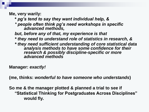**Me, very warily:** 

- **\*** *pg's tend to say they want individual help, &*
- *\* people often think pg's need workshops in specific advanced methods,*
- *but, before any of that, my experience is that*
- *\* they need to understand role of statistics in research, &*
- *\* they need sufficient understanding of core statistical data analysis methods to have some confidence for their research & possibly discipline-specific or more advanced methods*

**Manager:** *exactly!*

**(me, thinks:** *wonderful to have someone who understands***)**

**So me & the manager plotted & planned a trial to see if "Statistical Thinking for Postgraduates Across Disciplines" would fly.**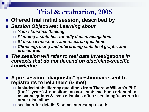- Offered trial initial session, described by
- *Session Objectives: Learning about* 
	- *Your statistical thinking*
	- *Planning a statistics-friendly data investigation.*
	- *Statistical questions and research questions.*
	- *Choosing, using and interpreting statistical graphs and procedures*
- The session will refer to real data investigations in *contexts that do not depend on discipline-specific knowledge.*
- A pre-session "diagnostic" questionnaire sent to **registrants to help them (& me!)** 
	- **included stats literacy questions from Therese Wilson's PhD (for 1st years) & questions on core stats methods oriented to misconceptions & even mistakes often seen in pg/research in other disciplines**
	- **see later for details & some interesting results**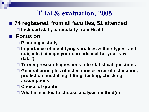- 74 registered, from all faculties, 51 attended
	- **Included staff, particularly from Health**

#### **Focus on**

- **Planning a study**
- **Importance of identifying variables & their types, and subjects ("design your spreadsheet for your raw data")**
- **Turning research questions into statistical questions**
- **General principles of estimation & error of estimation, prediction, modelling, fitting, testing, checking assumptions**
- **Choice of graphs**
- **What is needed to choose analysis method(s)**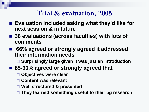- Evaluation included asking what they'd like for **next session & in future**
- 38 evaluations (across faculties) with lots of **comments**
- **66% agreed or strongly agreed it addressed their information needs**

**Surprisingly large given it was just an introduction**

- 85-90% agreed or strongly agreed that
	- **Objectives were clear**
	- **Content was relevant**
	- **Well structured & presented**
	- **They learned something useful to their pg research**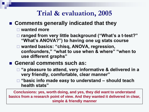#### **Comments generally indicated that they**

#### **wanted more**

- **ranged from very little background ("What's a t-test?" "What's ANOVA?") to having one ug stats course**
- **wanted basics: "chisq, ANOVA, regression, confounders," "what to use when & where" "when to use different graphs"**

#### **General comments such as:**

- **"a pleasure to attend, very informative & delivered in a very friendly, comfortable, clear manner"**
- **"basic info made easy to understand – should teach health stats"**

**Conclusions: yes, worth doing, and yes, they did want to understand basics from a research point of view. And they wanted it delivered in clear, simple & friendly manner**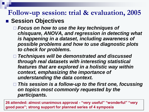### **Follow-up session: trial & evaluation, 2005 Example Session Objectives**

- *Focus on how to use the key techniques of chisquare, ANOVA, and regression in detecting what is happening in a dataset, including awareness of possible problems and how to use diagnostic plots to check for problems.*
- *Techniques will be demonstrated and discussed through real datasets with interesting statistical features that are explored in a holistic way within context, emphasizing the importance of understanding the data context.*
- *This session is a follow-up to the first one, focussing on topics most commonly requested by the participants.*

**26 attended: almost unanimous approval - "very useful" "wonderful" "very good pace"; strong support for planned series of 4 symposia**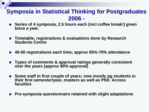#### **Symposia in Statistical Thinking for Postgraduates 2006 -**

- **Series of 4 symposia, 2.5 hours each (incl coffee break!) given twice a year***.*
- **Timetable, registrations & evaluations done by Research Students Centre**
- **40-50 registrations each time; approx 65%-70% attendance**
- **Types of comments & approval ratings generally consistent over the years (approx 90% approval)**
- **Some staff in first couple of years; now mostly pg students in their first semester/year, masters as well as PhD. Across faculties**
- **Pre-symposia questionnaire retained with slight adaptations**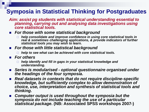### **Symposia in Statistical Thinking for Postgraduates**

- *Aim: assist pg students with statistical understanding essential to planning, carrying out and analysing data investigations using core statistical tools.*
- *For those with some statistical background*
	- *help consolidate and improve confidence in using core statistical tools in real & sometimes challenging applications, & provide indicators of further statistical tools you may wish to learn.*
- *For those with little statistical background*
	- *help to see what can be achieved with core statistical tools.*
- *For others* 
	- *help identify and fill in gaps in your statistical knowledge and understanding.*
- *Series is modularised - optional questionnaire organised under the headings of the four symposia.*
- *Real datasets in contexts that do not require discipline-specific knowledge, but sufficiently complex to allow demonstration of choice, use, interpretation and synthesis of statistical tools and thinking.*
- **E** Computer output is used throughout the symposia but the *symposia do not include teaching the use of a particular statistical package.* **(NB: Associated SPSS workshops 2007-)**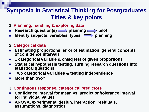### **Symposia in Statistical Thinking for Postgraduates Titles & key points**

- **1. Planning, handling & exploring data**
- **Research question(s)**  $\longrightarrow$  planning  $\longrightarrow$  pilot
- **Identify subjects, variables, types**  $\implies$  planning

#### **2. Categorical data**

- **Estimating proportions; error of estimation; general concepts of confidence intervals**
- **1 categorical variable & chisq test of given proportions**
- **Statistical hypothesis testing. Turning research questions into statistical questions**
- **Two categorical variables & testing independence**
- **More than two?**
- **3. Continuous response, categorical predictors**
- Confidence interval for mean vs. prediction/tolerance interval **for individual values**
- **ANOVA, experimental design, interaction, residuals, assumptions, diagnostics**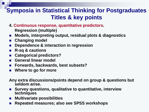### **Symposia in Statistical Thinking for Postgraduates Titles & key points**

- **4. Continuous response, quantitative predictors.** 
	- **Regression (multiple)**
- **Models, interpreting output, residual plots & diagnostics**
- **Changing model**
- **Dependence & interaction in regression**
- **R-sq & cautions**
- **Categorical predictors?**
- **General linear model**
- **Forwards, backwards, best subsets?**
- **Where to go for more**
- **Any extra discussions/points depend on group & questions but seldom arise.**
- **Survey questions, qualitative to quantitative, interview techniques**
- **Multivariate possibilities**
- **Repeated measures; also see SPSS workshops**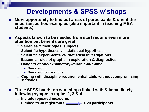### **Developments & SPSS w'shops**

- More opportunity to find out areas of participants & orient the **important ad hoc examples (also important in teaching MBA students)**
- **Aspects known to be needed from start require even more attention but benefits are great**
	- **Variables & their types, subjects**
	- **Scientific hypotheses vs. statistical hypotheses**
	- **Scientific experiments vs. statistical investigations**
	- **Essential roles of graphs in exploration & diagnostics**
	- **Dangers of one-explanatory-variable-at-a-time**
		- **Beware of t!**
		- **Beware of correlations!**
	- **Coping with discipline requirements/habits without compromising statistics**
- Three SPSS hands-on workshops linked with & immediately **following symposia topics 2, 3 & 4**
	- **Include repeated measures**
	- **Limited to 30 registrants < 20 participants**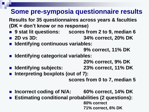### **Some pre-symposia questionnaire results**

**Results for 35 questionnaires across years & faculties (DK = don't know or no response)**

- 9 stat lit questions: scores from 2 to 9, median 6
- **2D vs 3D: 34% correct, 20% DK**
- Identifying continuous variables:

**9% correct, 11% DK**

**Identifying categorical variables:** 

**20% correct, 9% DK**

- **Identifying subjects: 23% correct, 11% DK**
- **Interpreting boxplots (out of 7):**

**scores from 0 to 7, median 5**

- **Incorrect coding of N/A: 60% correct, 14% DK**
- **Estimating conditional probabilities (2 questions):**

**80% correct 71% correct, 6% DK**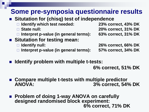## **Some pre-symposia questionnaire results**

- Situtation for (chisq) test of independence
	- **Identify which test needed: 23% correct, 43% DK**
	-
	- **Interpret p-value (in general terms): 63% correct, 31% DK**
- **E** Situtation for testing mean:
	-
	- **Interpret p-value (in general terms): 57% correct, 34% DK**

**State null: 20% correct, 31% DK**

**Identify null: 26% correct, 66% DK**

**Identify problem with multiple t-tests:** 

**6% correct, 51% DK**

- Compare multiple t-tests with multiple predictor **ANOVA: 3% correct, 54% DK**
- Problem of doing 1-way ANOVA on carefully **designed randomised block experiment: 6% correct, 71% DK**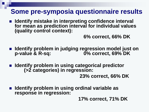### **Some pre-symposia questionnaire results**

■ Identify mistake in interpreting confidence interval **for mean as prediction interval for individual values (quality control context):** 

**6% correct, 66% DK**

- **IDED IDED:** Identify problem in judging regression model just on **p-value & R-sq: 0% correct, 69% DK**
- **IDED** Identify problem in using categorical predictor **(>2 categories) in regression:**

**23% correct, 66% DK**

 **Identify problem in using ordinal variable as response in regression:** 

**17% correct, 71% DK**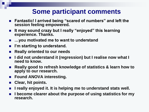### **Some participant comments**

- **Fantastic! I arrived being "scared of numbers" and left the session feeling empowered.**
- **It may sound crazy but I really "enjoyed" this learning experience. Thanks.**
- …you motivated me to want to understand
- I'm starting to understand.
- **Really oriented to our needs**
- **I did not understand it (regression) but I realise now what I need to know.**
- Really good to refresh knowledge of statistics & learn how to **apply to our research.**
- **Found ANOVA interesting.**
- **Clear, hit points.**
- **I really enjoyed it. It is helping me to understand stats well.**
- **I become clearer about the purpose of using statistics for my research.**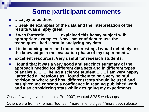### **Some participant comments**

- **…..a joy to be there**
- ….real-life examples of the data and the interpretation of the **results was simply great**
- **It was fantastic. ………. explained this heavy subject with appropriate examples. Now I am confident to use the techniques I had learnt in analyzing my data**
- **It is becoming more and more interesting. I would definitely use the knowledge in the evaluation phase of my experiments.**
- Excellent resources. Very useful for research students.
- **I found that it was a very good and succinct summary of the approach needed for different data sets and in different types of analysis…. …. being a science student ……. I am very happy I attended all sessions as I found them to be a very helpful revision of where and how different tests should be used and has given me enormous confidence in reading published work and also considering stats while designing my experiments.**

Only a few negative comments: Pre-2007, wanted SPSS workshops

Others were from extremes: "too fast" "more time to digest" "more depth please"